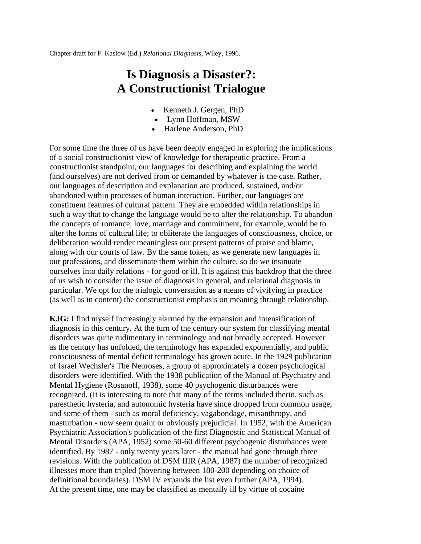Chapter draft for F. Kaslow (Ed.) *Relational Diagnosis*, Wiley, 1996.

## **Is Diagnosis a Disaster?: A Constructionist Trialogue**

- Kenneth J. Gergen, PhD
- Lynn Hoffman, MSW
- Harlene Anderson, PhD

For some time the three of us have been deeply engaged in exploring the implications of a social constructionist view of knowledge for therapeutic practice. From a constructionist standpoint, our languages for describing and explaining the world (and ourselves) are not derived from or demanded by whatever is the case. Rather, our languages of description and explanation are produced, sustained, and/or abandoned within processes of human interaction. Further, our languages are constituent features of cultural pattern. They are embedded within relationships in such a way that to change the language would be to alter the relationship. To abandon the concepts of romance, love, marriage and commitment, for example, would be to alter the forms of cultural life; to obliterate the languages of consciousness, choice, or deliberation would render meaningless our present patterns of praise and blame, along with our courts of law. By the same token, as we generate new languages in our professions, and disseminate them within the culture, so do we insinuate ourselves into daily relations - for good or ill. It is against this backdrop that the three of us wish to consider the issue of diagnosis in general, and relational diagnosis in particular. We opt for the trialogic conversation as a means of vivifying in practice (as well as in content) the constructionist emphasis on meaning through relationship.

**KJG:** I find myself increasingly alarmed by the expansion and intensification of diagnosis in this century. At the turn of the century our system for classifying mental disorders was quite rudimentary in terminology and not broadly accepted. However as the century has unfolded, the terminology has expanded exponentially, and public consciousness of mental deficit terminology has grown acute. In the 1929 publication of Israel Wechsler's The Neuroses, a group of approximately a dozen psychological disorders were identified. With the 1938 publication of the Manual of Psychiatry and Mental Hygiene (Rosanoff, 1938), some 40 psychogenic disturbances were recognized. (It is interesting to note that many of the terms included therin, such as paresthetic hysteria, and autonomic hysteria have since dropped from common usage, and some of them - such as moral deficiency, vagabondage, misanthropy, and masturbation - now seem quaint or obviously prejudicial. In 1952, with the American Psychiatric Association's publication of the first Diagnostic and Statistical Manual of Mental Disorders (APA, 1952) some 50-60 different psychogenic disturbances were identified. By 1987 - only twenty years later - the manual had gone through three revisions. With the publication of DSM IIIR (APA, 1987) the number of recognized illnesses more than tripled (hovering between 180-200 depending on choice of definitional boundaries). DSM IV expands the list even further (APA, 1994). At the present time, one may be classified as mentally ill by virtue of cocaine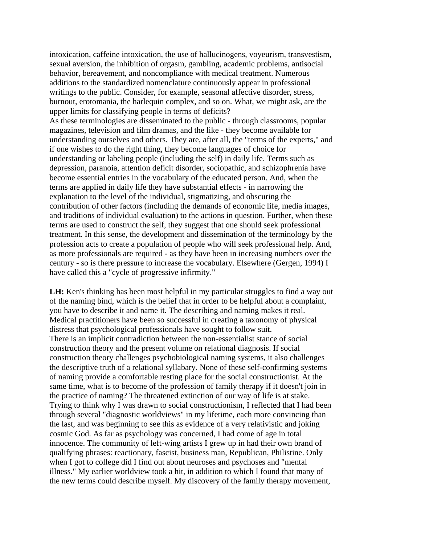intoxication, caffeine intoxication, the use of hallucinogens, voyeurism, transvestism, sexual aversion, the inhibition of orgasm, gambling, academic problems, antisocial behavior, bereavement, and noncompliance with medical treatment. Numerous additions to the standardized nomenclature continuously appear in professional writings to the public. Consider, for example, seasonal affective disorder, stress, burnout, erotomania, the harlequin complex, and so on. What, we might ask, are the upper limits for classifying people in terms of deficits?

As these terminologies are disseminated to the public - through classrooms, popular magazines, television and film dramas, and the like - they become available for understanding ourselves and others. They are, after all, the "terms of the experts," and if one wishes to do the right thing, they become languages of choice for understanding or labeling people (including the self) in daily life. Terms such as depression, paranoia, attention deficit disorder, sociopathic, and schizophrenia have become essential entries in the vocabulary of the educated person. And, when the terms are applied in daily life they have substantial effects - in narrowing the explanation to the level of the individual, stigmatizing, and obscuring the contribution of other factors (including the demands of economic life, media images, and traditions of individual evaluation) to the actions in question. Further, when these terms are used to construct the self, they suggest that one should seek professional treatment. In this sense, the development and dissemination of the terminology by the profession acts to create a population of people who will seek professional help. And, as more professionals are required - as they have been in increasing numbers over the century - so is there pressure to increase the vocabulary. Elsewhere (Gergen, 1994) I have called this a "cycle of progressive infirmity."

**LH:** Ken's thinking has been most helpful in my particular struggles to find a way out of the naming bind, which is the belief that in order to be helpful about a complaint, you have to describe it and name it. The describing and naming makes it real. Medical practitioners have been so successful in creating a taxonomy of physical distress that psychological professionals have sought to follow suit. There is an implicit contradiction between the non-essentialist stance of social construction theory and the present volume on relational diagnosis. If social construction theory challenges psychobiological naming systems, it also challenges the descriptive truth of a relational syllabary. None of these self-confirming systems of naming provide a comfortable resting place for the social constructionist. At the same time, what is to become of the profession of family therapy if it doesn't join in the practice of naming? The threatened extinction of our way of life is at stake. Trying to think why I was drawn to social constructionism, I reflected that I had been through several "diagnostic worldviews" in my lifetime, each more convincing than the last, and was beginning to see this as evidence of a very relativistic and joking cosmic God. As far as psychology was concerned, I had come of age in total innocence. The community of left-wing artists I grew up in had their own brand of qualifying phrases: reactionary, fascist, business man, Republican, Philistine. Only when I got to college did I find out about neuroses and psychoses and "mental" illness." My earlier worldview took a hit, in addition to which I found that many of the new terms could describe myself. My discovery of the family therapy movement,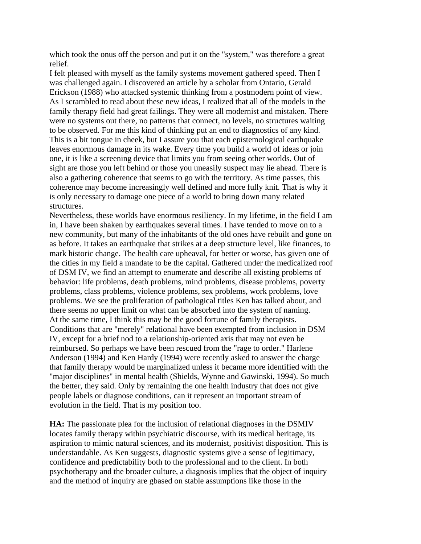which took the onus off the person and put it on the "system," was therefore a great relief.

I felt pleased with myself as the family systems movement gathered speed. Then I was challenged again. I discovered an article by a scholar from Ontario, Gerald Erickson (1988) who attacked systemic thinking from a postmodern point of view. As I scrambled to read about these new ideas, I realized that all of the models in the family therapy field had great failings. They were all modernist and mistaken. There were no systems out there, no patterns that connect, no levels, no structures waiting to be observed. For me this kind of thinking put an end to diagnostics of any kind. This is a bit tongue in cheek, but I assure you that each epistemological earthquake leaves enormous damage in its wake. Every time you build a world of ideas or join one, it is like a screening device that limits you from seeing other worlds. Out of sight are those you left behind or those you uneasily suspect may lie ahead. There is also a gathering coherence that seems to go with the territory. As time passes, this coherence may become increasingly well defined and more fully knit. That is why it is only necessary to damage one piece of a world to bring down many related structures.

Nevertheless, these worlds have enormous resiliency. In my lifetime, in the field I am in, I have been shaken by earthquakes several times. I have tended to move on to a new community, but many of the inhabitants of the old ones have rebuilt and gone on as before. It takes an earthquake that strikes at a deep structure level, like finances, to mark historic change. The health care upheaval, for better or worse, has given one of the cities in my field a mandate to be the capital. Gathered under the medicalized roof of DSM IV, we find an attempt to enumerate and describe all existing problems of behavior: life problems, death problems, mind problems, disease problems, poverty problems, class problems, violence problems, sex problems, work problems, love problems. We see the proliferation of pathological titles Ken has talked about, and there seems no upper limit on what can be absorbed into the system of naming. At the same time, I think this may be the good fortune of family therapists. Conditions that are "merely" relational have been exempted from inclusion in DSM IV, except for a brief nod to a relationship-oriented axis that may not even be reimbursed. So perhaps we have been rescued from the "rage to order." Harlene Anderson (1994) and Ken Hardy (1994) were recently asked to answer the charge that family therapy would be marginalized unless it became more identified with the "major disciplines" in mental health (Shields, Wynne and Gawinski, 1994). So much the better, they said. Only by remaining the one health industry that does not give people labels or diagnose conditions, can it represent an important stream of evolution in the field. That is my position too.

**HA:** The passionate plea for the inclusion of relational diagnoses in the DSMIV locates family therapy within psychiatric discourse, with its medical heritage, its aspiration to mimic natural sciences, and its modernist, positivist disposition. This is understandable. As Ken suggests, diagnostic systems give a sense of legitimacy, confidence and predictability both to the professional and to the client. In both psychotherapy and the broader culture, a diagnosis implies that the object of inquiry and the method of inquiry are gbased on stable assumptions like those in the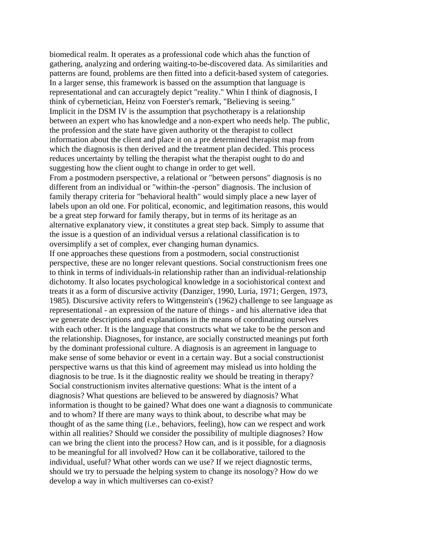biomedical realm. It operates as a professional code which ahas the function of gathering, analyzing and ordering waiting-to-be-discovered data. As similarities and patterns are found, problems are then fitted into a deficit-based system of categories. In a larger sense, this framework is bassed on the assumption that language is representational and can accuragtely depict "reality." Whin I think of diagnosis, I think of cybernetician, Heinz von Foerster's remark, "Believing is seeing." Implicit in the DSM IV is the assumption that psychotherapy is a relationship between an expert who has knowledge and a non-expert who needs help. The public, the profession and the state have given authority ot the therapist to collect information about the client and place it on a pre determined therapist map from which the diagnosis is then derived and the treatment plan decided. This process reduces uncertainty by telling the therapist what the therapist ought to do and suggesting how the client ought to change in order to get well. From a postmodern pserspective, a relational or "between persons" diagnosis is no different from an individual or "within-the -person" diagnosis. The inclusion of family therapy criteria for "behavioral health" would simply place a new layer of labels upon an old one. For political, economic, and legitimation reasons, this would be a great step forward for family therapy, but in terms of its heritage as an alternative explanatory view, it constitutes a great step back. Simply to assume that the issue is a question of an individual versus a relational classification is to oversimplify a set of complex, ever changing human dynamics. If one approaches these questions from a postmodern, social constructionist perspective, these are no longer relevant questions. Social constructionism frees one to think in terms of individuals-in relationship rather than an individual-relationship dichotomy. It also locates psychological knowledge in a sociohistorical context and treats it as a form of discursive activity (Danziger, 1990, Luria, 1971; Gergen, 1973, 1985). Discursive activity refers to Wittgenstein's (1962) challenge to see language as representational - an expression of the nature of things - and his alternative idea that we generate descriptions and explanations in the means of coordinating ourselves with each other. It is the language that constructs what we take to be the person and the relationship. Diagnoses, for instance, are socially constructed meanings put forth by the dominant professional culture. A diagnosis is an agreement in language to make sense of some behavior or event in a certain way. But a social constructionist perspective warns us that this kind of agreement may mislead us into holding the diagnosis to be true. Is it the diagnostic reality we should be treating in therapy? Social constructionism invites alternative questions: What is the intent of a diagnosis? What questions are believed to be answered by diagnosis? What information is thought to be gained? What does one want a diagnosis to communicate and to whom? If there are many ways to think about, to describe what may be thought of as the same thing (i.e., behaviors, feeling), how can we respect and work within all realities? Should we consider the possibility of multiple diagnoses? How can we bring the client into the process? How can, and is it possible, for a diagnosis to be meaningful for all involved? How can it be collaborative, tailored to the individual, useful? What other words can we use? If we reject diagnostic terms, should we try to persuade the helping system to change its nosology? How do we develop a way in which multiverses can co-exist?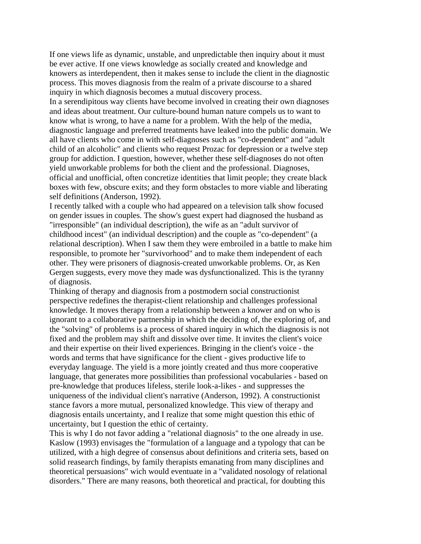If one views life as dynamic, unstable, and unpredictable then inquiry about it must be ever active. If one views knowledge as socially created and knowledge and knowers as interdependent, then it makes sense to include the client in the diagnostic process. This moves diagnosis from the realm of a private discourse to a shared inquiry in which diagnosis becomes a mutual discovery process.

In a serendipitous way clients have become involved in creating their own diagnoses and ideas about treatment. Our culture-bound human nature compels us to want to know what is wrong, to have a name for a problem. With the help of the media, diagnostic language and preferred treatments have leaked into the public domain. We all have clients who come in with self-diagnoses such as "co-dependent" and "adult child of an alcoholic" and clients who request Prozac for depression or a twelve step group for addiction. I question, however, whether these self-diagnoses do not often yield unworkable problems for both the client and the professional. Diagnoses, official and unofficial, often concretize identities that limit people; they create black boxes with few, obscure exits; and they form obstacles to more viable and liberating self definitions (Anderson, 1992).

I recently talked with a couple who had appeared on a television talk show focused on gender issues in couples. The show's guest expert had diagnosed the husband as "irresponsible" (an individual description), the wife as an "adult survivor of childhood incest" (an individual description) and the couple as "co-dependent" (a relational description). When I saw them they were embroiled in a battle to make him responsible, to promote her "survivorhood" and to make them independent of each other. They were prisoners of diagnosis-created unworkable problems. Or, as Ken Gergen suggests, every move they made was dysfunctionalized. This is the tyranny of diagnosis.

Thinking of therapy and diagnosis from a postmodern social constructionist perspective redefines the therapist-client relationship and challenges professional knowledge. It moves therapy from a relationship between a knower and on who is ignorant to a collaborative partnership in which the deciding of, the exploring of, and the "solving" of problems is a process of shared inquiry in which the diagnosis is not fixed and the problem may shift and dissolve over time. It invites the client's voice and their expertise on their lived experiences. Bringing in the client's voice - the words and terms that have significance for the client - gives productive life to everyday language. The yield is a more jointly created and thus more cooperative language, that generates more possibilities than professional vocabularies - based on pre-knowledge that produces lifeless, sterile look-a-likes - and suppresses the uniqueness of the individual client's narrative (Anderson, 1992). A constructionist stance favors a more mutual, personalized knowledge. This view of therapy and diagnosis entails uncertainty, and I realize that some might question this ethic of uncertainty, but I question the ethic of certainty.

This is why I do not favor adding a "relational diagnosis" to the one already in use. Kaslow (1993) envisages the "formulation of a language and a typology that can be utilized, with a high degree of consensus about definitions and criteria sets, based on solid reasearch findings, by family therapists emanating from many disciplines and theoretical persuasions" wich would eventuate in a "validated nosology of relational disorders." There are many reasons, both theoretical and practical, for doubting this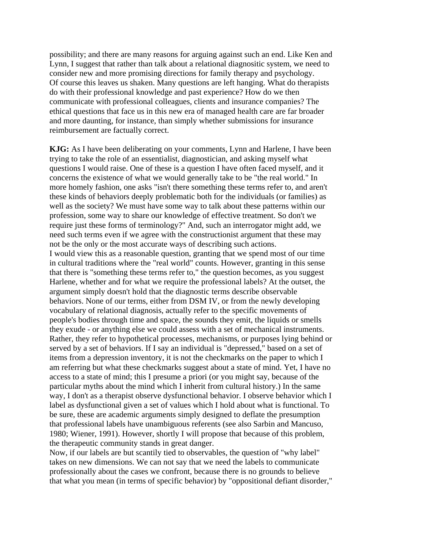possibility; and there are many reasons for arguing against such an end. Like Ken and Lynn, I suggest that rather than talk about a relational diagnositic system, we need to consider new and more promising directions for family therapy and psychology. Of course this leaves us shaken. Many questions are left hanging. What do therapists do with their professional knowledge and past experience? How do we then communicate with professional colleagues, clients and insurance companies? The ethical questions that face us in this new era of managed health care are far broader and more daunting, for instance, than simply whether submissions for insurance reimbursement are factually correct.

**KJG:** As I have been deliberating on your comments, Lynn and Harlene, I have been trying to take the role of an essentialist, diagnostician, and asking myself what questions I would raise. One of these is a question I have often faced myself, and it concerns the existence of what we would generally take to be "the real world." In more homely fashion, one asks "isn't there something these terms refer to, and aren't these kinds of behaviors deeply problematic both for the individuals (or families) as well as the society? We must have some way to talk about these patterns within our profession, some way to share our knowledge of effective treatment. So don't we require just these forms of terminology?" And, such an interrogator might add, we need such terms even if we agree with the constructionist argument that these may not be the only or the most accurate ways of describing such actions. I would view this as a reasonable question, granting that we spend most of our time in cultural traditions where the "real world" counts. However, granting in this sense that there is "something these terms refer to," the question becomes, as you suggest Harlene, whether and for what we require the professional labels? At the outset, the argument simply doesn't hold that the diagnostic terms describe observable behaviors. None of our terms, either from DSM IV, or from the newly developing vocabulary of relational diagnosis, actually refer to the specific movements of people's bodies through time and space, the sounds they emit, the liquids or smells they exude - or anything else we could assess with a set of mechanical instruments. Rather, they refer to hypothetical processes, mechanisms, or purposes lying behind or served by a set of behaviors. If I say an individual is "depressed," based on a set of items from a depression inventory, it is not the checkmarks on the paper to which I am referring but what these checkmarks suggest about a state of mind. Yet, I have no access to a state of mind; this I presume a priori (or you might say, because of the particular myths about the mind which I inherit from cultural history.) In the same way, I don't as a therapist observe dysfunctional behavior. I observe behavior which I label as dysfunctional given a set of values which I hold about what is functional. To be sure, these are academic arguments simply designed to deflate the presumption that professional labels have unambiguous referents (see also Sarbin and Mancuso, 1980; Wiener, 1991). However, shortly I will propose that because of this problem, the therapeutic community stands in great danger.

Now, if our labels are but scantily tied to observables, the question of "why label" takes on new dimensions. We can not say that we need the labels to communicate professionally about the cases we confront, because there is no grounds to believe that what you mean (in terms of specific behavior) by "oppositional defiant disorder,"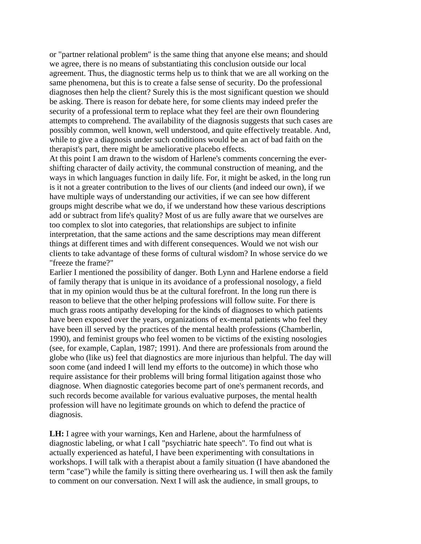or "partner relational problem" is the same thing that anyone else means; and should we agree, there is no means of substantiating this conclusion outside our local agreement. Thus, the diagnostic terms help us to think that we are all working on the same phenomena, but this is to create a false sense of security. Do the professional diagnoses then help the client? Surely this is the most significant question we should be asking. There is reason for debate here, for some clients may indeed prefer the security of a professional term to replace what they feel are their own floundering attempts to comprehend. The availability of the diagnosis suggests that such cases are possibly common, well known, well understood, and quite effectively treatable. And, while to give a diagnosis under such conditions would be an act of bad faith on the therapist's part, there might be ameliorative placebo effects.

At this point I am drawn to the wisdom of Harlene's comments concerning the evershifting character of daily activity, the communal construction of meaning, and the ways in which languages function in daily life. For, it might be asked, in the long run is it not a greater contribution to the lives of our clients (and indeed our own), if we have multiple ways of understanding our activities, if we can see how different groups might describe what we do, if we understand how these various descriptions add or subtract from life's quality? Most of us are fully aware that we ourselves are too complex to slot into categories, that relationships are subject to infinite interpretation, that the same actions and the same descriptions may mean different things at different times and with different consequences. Would we not wish our clients to take advantage of these forms of cultural wisdom? In whose service do we "freeze the frame?"

Earlier I mentioned the possibility of danger. Both Lynn and Harlene endorse a field of family therapy that is unique in its avoidance of a professional nosology, a field that in my opinion would thus be at the cultural forefront. In the long run there is reason to believe that the other helping professions will follow suite. For there is much grass roots antipathy developing for the kinds of diagnoses to which patients have been exposed over the years, organizations of ex-mental patients who feel they have been ill served by the practices of the mental health professions (Chamberlin, 1990), and feminist groups who feel women to be victims of the existing nosologies (see, for example, Caplan, 1987; 1991). And there are professionals from around the globe who (like us) feel that diagnostics are more injurious than helpful. The day will soon come (and indeed I will lend my efforts to the outcome) in which those who require assistance for their problems will bring formal litigation against those who diagnose. When diagnostic categories become part of one's permanent records, and such records become available for various evaluative purposes, the mental health profession will have no legitimate grounds on which to defend the practice of diagnosis.

**LH:** I agree with your warnings, Ken and Harlene, about the harmfulness of diagnostic labeling, or what I call "psychiatric hate speech". To find out what is actually experienced as hateful, I have been experimenting with consultations in workshops. I will talk with a therapist about a family situation (I have abandoned the term "case") while the family is sitting there overhearing us. I will then ask the family to comment on our conversation. Next I will ask the audience, in small groups, to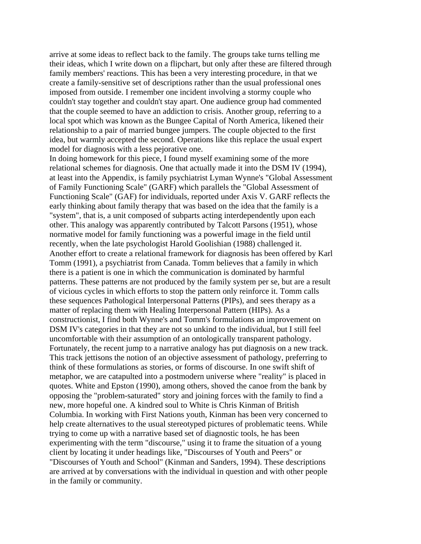arrive at some ideas to reflect back to the family. The groups take turns telling me their ideas, which I write down on a flipchart, but only after these are filtered through family members' reactions. This has been a very interesting procedure, in that we create a family-sensitive set of descriptions rather than the usual professional ones imposed from outside. I remember one incident involving a stormy couple who couldn't stay together and couldn't stay apart. One audience group had commented that the couple seemed to have an addiction to crisis. Another group, referring to a local spot which was known as the Bungee Capital of North America, likened their relationship to a pair of married bungee jumpers. The couple objected to the first idea, but warmly accepted the second. Operations like this replace the usual expert model for diagnosis with a less pejorative one.

In doing homework for this piece, I found myself examining some of the more relational schemes for diagnosis. One that actually made it into the DSM IV (1994), at least into the Appendix, is family psychiatrist Lyman Wynne's "Global Assessment of Family Functioning Scale" (GARF) which parallels the "Global Assessment of Functioning Scale" (GAF) for individuals, reported under Axis V. GARF reflects the early thinking about family therapy that was based on the idea that the family is a "system", that is, a unit composed of subparts acting interdependently upon each other. This analogy was apparently contributed by Talcott Parsons (1951), whose normative model for family functioning was a powerful image in the field until recently, when the late psychologist Harold Goolishian (1988) challenged it. Another effort to create a relational framework for diagnosis has been offered by Karl Tomm (1991), a psychiatrist from Canada. Tomm believes that a family in which there is a patient is one in which the communication is dominated by harmful patterns. These patterns are not produced by the family system per se, but are a result of vicious cycles in which efforts to stop the pattern only reinforce it. Tomm calls these sequences Pathological Interpersonal Patterns (PIPs), and sees therapy as a matter of replacing them with Healing Interpersonal Pattern (HIPs). As a constructionist, I find both Wynne's and Tomm's formulations an improvement on DSM IV's categories in that they are not so unkind to the individual, but I still feel uncomfortable with their assumption of an ontologically transparent pathology. Fortunately, the recent jump to a narrative analogy has put diagnosis on a new track. This track jettisons the notion of an objective assessment of pathology, preferring to think of these formulations as stories, or forms of discourse. In one swift shift of metaphor, we are catapulted into a postmodern universe where "reality" is placed in quotes. White and Epston (1990), among others, shoved the canoe from the bank by opposing the "problem-saturated" story and joining forces with the family to find a new, more hopeful one. A kindred soul to White is Chris Kinman of British Columbia. In working with First Nations youth, Kinman has been very concerned to help create alternatives to the usual stereotyped pictures of problematic teens. While trying to come up with a narrative based set of diagnostic tools, he has been experimenting with the term "discourse," using it to frame the situation of a young client by locating it under headings like, "Discourses of Youth and Peers" or "Discourses of Youth and School" (Kinman and Sanders, 1994). These descriptions are arrived at by conversations with the individual in question and with other people in the family or community.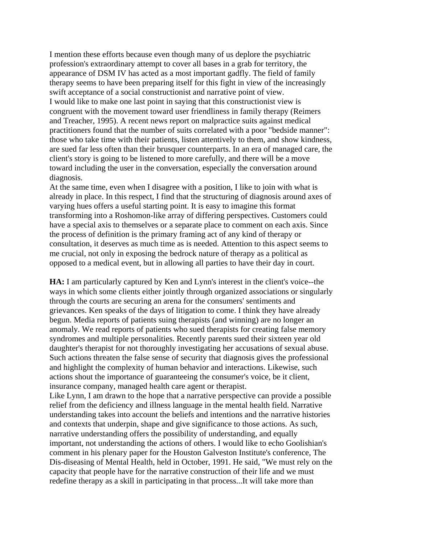I mention these efforts because even though many of us deplore the psychiatric profession's extraordinary attempt to cover all bases in a grab for territory, the appearance of DSM IV has acted as a most important gadfly. The field of family therapy seems to have been preparing itself for this fight in view of the increasingly swift acceptance of a social constructionist and narrative point of view. I would like to make one last point in saying that this constructionist view is congruent with the movement toward user friendliness in family therapy (Reimers and Treacher, 1995). A recent news report on malpractice suits against medical practitioners found that the number of suits correlated with a poor "bedside manner": those who take time with their patients, listen attentively to them, and show kindness, are sued far less often than their brusquer counterparts. In an era of managed care, the client's story is going to be listened to more carefully, and there will be a move toward including the user in the conversation, especially the conversation around diagnosis.

At the same time, even when I disagree with a position, I like to join with what is already in place. In this respect, I find that the structuring of diagnosis around axes of varying hues offers a useful starting point. It is easy to imagine this format transforming into a Roshomon-like array of differing perspectives. Customers could have a special axis to themselves or a separate place to comment on each axis. Since the process of definition is the primary framing act of any kind of therapy or consultation, it deserves as much time as is needed. Attention to this aspect seems to me crucial, not only in exposing the bedrock nature of therapy as a political as opposed to a medical event, but in allowing all parties to have their day in court.

**HA:** I am particularly captured by Ken and Lynn's interest in the client's voice--the ways in which some clients either jointly through organized associations or singularly through the courts are securing an arena for the consumers' sentiments and grievances. Ken speaks of the days of litigation to come. I think they have already begun. Media reports of patients suing therapists (and winning) are no longer an anomaly. We read reports of patients who sued therapists for creating false memory syndromes and multiple personalities. Recently parents sued their sixteen year old daughter's therapist for not thoroughly investigating her accusations of sexual abuse. Such actions threaten the false sense of security that diagnosis gives the professional and highlight the complexity of human behavior and interactions. Likewise, such actions shout the importance of guaranteeing the consumer's voice, be it client, insurance company, managed health care agent or therapist.

Like Lynn, I am drawn to the hope that a narrative perspective can provide a possible relief from the deficiency and illness language in the mental health field. Narrative understanding takes into account the beliefs and intentions and the narrative histories and contexts that underpin, shape and give significance to those actions. As such, narrative understanding offers the possibility of understanding, and equally important, not understanding the actions of others. I would like to echo Goolishian's comment in his plenary paper for the Houston Galveston Institute's conference, The Dis-diseasing of Mental Health, held in October, 1991. He said, "We must rely on the capacity that people have for the narrative construction of their life and we must redefine therapy as a skill in participating in that process...It will take more than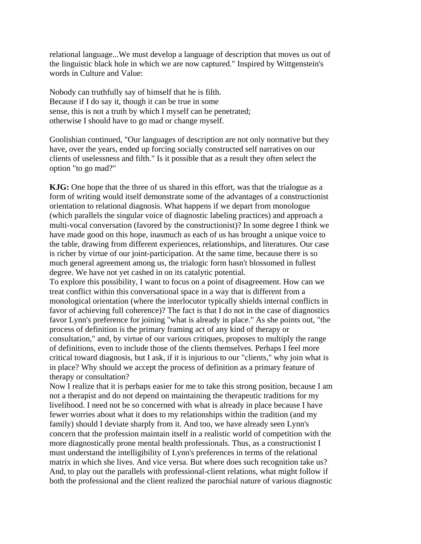relational language...We must develop a language of description that moves us out of the linguistic black hole in which we are now captured." Inspired by Wittgenstein's words in Culture and Value:

Nobody can truthfully say of himself that he is filth. Because if I do say it, though it can be true in some sense, this is not a truth by which I myself can be penetrated; otherwise I should have to go mad or change myself.

Goolishian continued, "Our languages of description are not only normative but they have, over the years, ended up forcing socially constructed self narratives on our clients of uselessness and filth." Is it possible that as a result they often select the option "to go mad?"

**KJG:** One hope that the three of us shared in this effort, was that the trialogue as a form of writing would itself demonstrate some of the advantages of a constructionist orientation to relational diagnosis. What happens if we depart from monologue (which parallels the singular voice of diagnostic labeling practices) and approach a multi-vocal conversation (favored by the constructionist)? In some degree I think we have made good on this hope, inasmuch as each of us has brought a unique voice to the table, drawing from different experiences, relationships, and literatures. Our case is richer by virtue of our joint-participation. At the same time, because there is so much general agreement among us, the trialogic form hasn't blossomed in fullest degree. We have not yet cashed in on its catalytic potential.

To explore this possibility, I want to focus on a point of disagreement. How can we treat conflict within this conversational space in a way that is different from a monological orientation (where the interlocutor typically shields internal conflicts in favor of achieving full coherence)? The fact is that I do not in the case of diagnostics favor Lynn's preference for joining "what is already in place." As she points out, "the process of definition is the primary framing act of any kind of therapy or consultation," and, by virtue of our various critiques, proposes to multiply the range of definitions, even to include those of the clients themselves. Perhaps I feel more critical toward diagnosis, but I ask, if it is injurious to our "clients," why join what is in place? Why should we accept the process of definition as a primary feature of therapy or consultation?

Now I realize that it is perhaps easier for me to take this strong position, because I am not a therapist and do not depend on maintaining the therapeutic traditions for my livelihood. I need not be so concerned with what is already in place because I have fewer worries about what it does to my relationships within the tradition (and my family) should I deviate sharply from it. And too, we have already seen Lynn's concern that the profession maintain itself in a realistic world of competition with the more diagnostically prone mental health professionals. Thus, as a constructionist I must understand the intelligibility of Lynn's preferences in terms of the relational matrix in which she lives. And vice versa. But where does such recognition take us? And, to play out the parallels with professional-client relations, what might follow if both the professional and the client realized the parochial nature of various diagnostic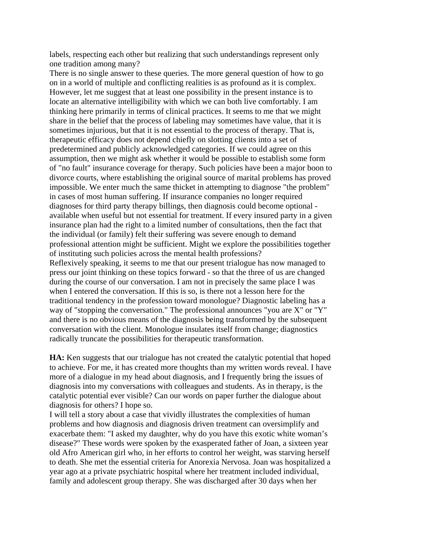labels, respecting each other but realizing that such understandings represent only one tradition among many?

There is no single answer to these queries. The more general question of how to go on in a world of multiple and conflicting realities is as profound as it is complex. However, let me suggest that at least one possibility in the present instance is to locate an alternative intelligibility with which we can both live comfortably. I am thinking here primarily in terms of clinical practices. It seems to me that we might share in the belief that the process of labeling may sometimes have value, that it is sometimes injurious, but that it is not essential to the process of therapy. That is, therapeutic efficacy does not depend chiefly on slotting clients into a set of predetermined and publicly acknowledged categories. If we could agree on this assumption, then we might ask whether it would be possible to establish some form of "no fault" insurance coverage for therapy. Such policies have been a major boon to divorce courts, where establishing the original source of marital problems has proved impossible. We enter much the same thicket in attempting to diagnose "the problem" in cases of most human suffering. If insurance companies no longer required diagnoses for third party therapy billings, then diagnosis could become optional available when useful but not essential for treatment. If every insured party in a given insurance plan had the right to a limited number of consultations, then the fact that the individual (or family) felt their suffering was severe enough to demand professional attention might be sufficient. Might we explore the possibilities together of instituting such policies across the mental health professions? Reflexively speaking, it seems to me that our present trialogue has now managed to press our joint thinking on these topics forward - so that the three of us are changed during the course of our conversation. I am not in precisely the same place I was when I entered the conversation. If this is so, is there not a lesson here for the traditional tendency in the profession toward monologue? Diagnostic labeling has a way of "stopping the conversation." The professional announces "you are X" or "Y" and there is no obvious means of the diagnosis being transformed by the subsequent conversation with the client. Monologue insulates itself from change; diagnostics radically truncate the possibilities for therapeutic transformation.

**HA:** Ken suggests that our trialogue has not created the catalytic potential that hoped to achieve. For me, it has created more thoughts than my written words reveal. I have more of a dialogue in my head about diagnosis, and I frequently bring the issues of diagnosis into my conversations with colleagues and students. As in therapy, is the catalytic potential ever visible? Can our words on paper further the dialogue about diagnosis for others? I hope so.

I will tell a story about a case that vividly illustrates the complexities of human problems and how diagnosis and diagnosis driven treatment can oversimplify and exacerbate them: "I asked my daughter, why do you have this exotic white woman's disease?" These words were spoken by the exasperated father of Joan, a sixteen year old Afro American girl who, in her efforts to control her weight, was starving herself to death. She met the essential criteria for Anorexia Nervosa. Joan was hospitalized a year ago at a private psychiatric hospital where her treatment included individual, family and adolescent group therapy. She was discharged after 30 days when her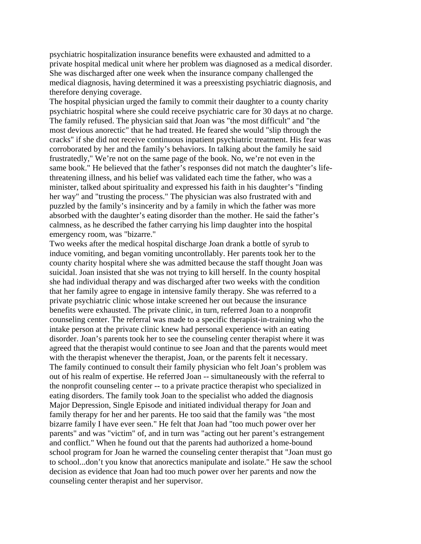psychiatric hospitalization insurance benefits were exhausted and admitted to a private hospital medical unit where her problem was diagnosed as a medical disorder. She was discharged after one week when the insurance company challenged the medical diagnosis, having determined it was a preesxisting psychiatric diagnosis, and therefore denying coverage.

The hospital physician urged the family to commit their daughter to a county charity psychiatric hospital where she could receive psychiatric care for 30 days at no charge. The family refused. The physician said that Joan was "the most difficult" and "the most devious anorectic" that he had treated. He feared she would "slip through the cracks" if she did not receive continuous inpatient psychiatric treatment. His fear was corroborated by her and the family's behaviors. In talking about the family he said frustratedly," We're not on the same page of the book. No, we're not even in the same book." He believed that the father's responses did not match the daughter's lifethreatening illness, and his belief was validated each time the father, who was a minister, talked about spirituality and expressed his faith in his daughter's "finding her way" and "trusting the process." The physician was also frustrated with and puzzled by the family's insincerity and by a family in which the father was more absorbed with the daughter's eating disorder than the mother. He said the father's calmness, as he described the father carrying his limp daughter into the hospital emergency room, was "bizarre."

Two weeks after the medical hospital discharge Joan drank a bottle of syrub to induce vomiting, and began vomiting uncontrollably. Her parents took her to the county charity hospital where she was admitted because the staff thought Joan was suicidal. Joan insisted that she was not trying to kill herself. In the county hospital she had individual therapy and was discharged after two weeks with the condition that her family agree to engage in intensive family therapy. She was referred to a private psychiatric clinic whose intake screened her out because the insurance benefits were exhausted. The private clinic, in turn, referred Joan to a nonprofit counseling center. The referral was made to a specific therapist-in-training who the intake person at the private clinic knew had personal experience with an eating disorder. Joan's parents took her to see the counseling center therapist where it was agreed that the therapist would continue to see Joan and that the parents would meet with the therapist whenever the therapist, Joan, or the parents felt it necessary. The family continued to consult their family physician who felt Joan's problem was out of his realm of expertise. He referred Joan -- simultaneously with the referral to the nonprofit counseling center -- to a private practice therapist who specialized in eating disorders. The family took Joan to the specialist who added the diagnosis Major Depression, Single Episode and initiated individual therapy for Joan and family therapy for her and her parents. He too said that the family was "the most bizarre family I have ever seen." He felt that Joan had "too much power over her parents" and was "victim" of, and in turn was "acting out her parent's estrangement and conflict." When he found out that the parents had authorized a home-bound school program for Joan he warned the counseling center therapist that "Joan must go to school...don't you know that anorectics manipulate and isolate." He saw the school decision as evidence that Joan had too much power over her parents and now the counseling center therapist and her supervisor.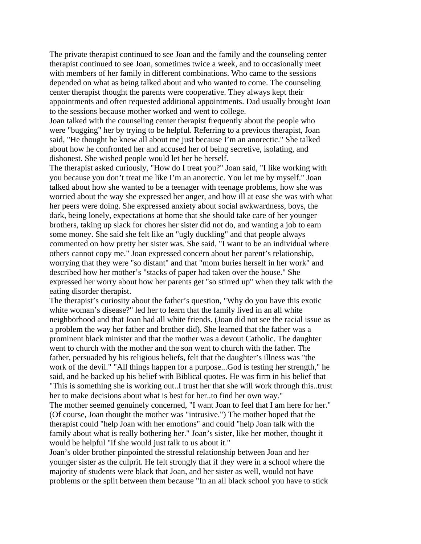The private therapist continued to see Joan and the family and the counseling center therapist continued to see Joan, sometimes twice a week, and to occasionally meet with members of her family in different combinations. Who came to the sessions depended on what as being talked about and who wanted to come. The counseling center therapist thought the parents were cooperative. They always kept their appointments and often requested additional appointments. Dad usually brought Joan to the sessions because mother worked and went to college.

Joan talked with the counseling center therapist frequently about the people who were "bugging" her by trying to be helpful. Referring to a previous therapist, Joan said, "He thought he knew all about me just because I'm an anorectic." She talked about how he confronted her and accused her of being secretive, isolating, and dishonest. She wished people would let her be herself.

The therapist asked curiously, "How do I treat you?" Joan said, "I like working with you because you don't treat me like I'm an anorectic. You let me by myself." Joan talked about how she wanted to be a teenager with teenage problems, how she was worried about the way she expressed her anger, and how ill at ease she was with what her peers were doing. She expressed anxiety about social awkwardness, boys, the dark, being lonely, expectations at home that she should take care of her younger brothers, taking up slack for chores her sister did not do, and wanting a job to earn some money. She said she felt like an "ugly duckling" and that people always commented on how pretty her sister was. She said, "I want to be an individual where others cannot copy me." Joan expressed concern about her parent's relationship, worrying that they were "so distant" and that "mom buries herself in her work" and described how her mother's "stacks of paper had taken over the house." She expressed her worry about how her parents get "so stirred up" when they talk with the eating disorder therapist.

The therapist's curiosity about the father's question, "Why do you have this exotic white woman's disease?" led her to learn that the family lived in an all white neighborhood and that Joan had all white friends. (Joan did not see the racial issue as a problem the way her father and brother did). She learned that the father was a prominent black minister and that the mother was a devout Catholic. The daughter went to church with the mother and the son went to church with the father. The father, persuaded by his religious beliefs, felt that the daughter's illness was "the work of the devil." "All things happen for a purpose...God is testing her strength," he said, and he backed up his belief with Biblical quotes. He was firm in his belief that "This is something she is working out..I trust her that she will work through this..trust her to make decisions about what is best for her..to find her own way." The mother seemed genuinely concerned, "I want Joan to feel that I am here for her." (Of course, Joan thought the mother was "intrusive.") The mother hoped that the therapist could "help Joan with her emotions" and could "help Joan talk with the family about what is really bothering her." Joan's sister, like her mother, thought it would be helpful "if she would just talk to us about it."

Joan's older brother pinpointed the stressful relationship between Joan and her younger sister as the culprit. He felt strongly that if they were in a school where the majority of students were black that Joan, and her sister as well, would not have problems or the split between them because "In an all black school you have to stick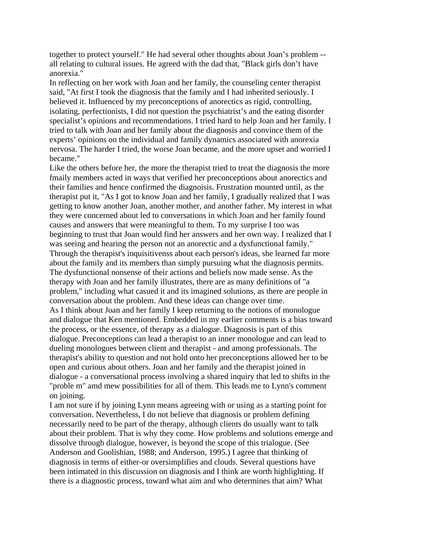together to protect yourself." He had several other thoughts about Joan's problem - all relating to cultural issues. He agreed with the dad that, "Black girls don't have anorexia."

In reflecting on her work with Joan and her family, the counseling center therapist said, "At first I took the diagnosis that the family and I had inherited seriously. I believed it. Influenced by my preconceptions of anorectics as rigid, controlling, isolating, perfectionists, I did not question the psychiatrist's and the eating disorder specialist's opinions and recommendations. I tried hard to help Joan and her family. I tried to talk with Joan and her family about the diagnosis and convince them of the experts' opinions on the individual and family dynamics associated with anorexia nervosa. The harder I tried, the worse Joan became, and the more upset and worried I became."

Like the others before her, the more the therapist tried to treat the diagnosis the more fmaily members acted in ways that verified her preconceptions about anorectics and their families and hence confirmed the diagnoisis. Frustration mounted until, as the therapist put it, "As I got to know Joan and her family, I gradually realized that I was getting to know another Joan, another mother, and another father. My interest in what they were concerned about led to conversations in which Joan and her family found causes and answers that were meaningful to them. To my surprise I too was beginning to trust that Joan would find her answers and her own way. I realized that I was seeing and hearing the person not an anorectic and a dysfunctional family." Through the therapist's inquisitivenss about each person's ideas, she learned far more about the family and its members than simply pursuing what the diagnosis permits. The dysfunctional nonsense of their actions and beliefs now made sense. As the therapy with Joan and her family illustrates, there are as many definitions of "a problem," including what casued it and its imagined solutions, as there are people in conversation about the problem. And these ideas can change over time. As I think about Joan and her family I keep returning to the notions of monologue and dialogue that Ken mentioned. Embedded in my earlier comments is a bias toward the process, or the essence, of therapy as a dialogue. Diagnosis is part of this dialogue. Preconceptions can lead a therapist to an inner monologue and can lead to dueling monologues between client and therapist - and among professionals. The therapist's ability to question and not hold onto her preconceptions allowed her to be open and curious about others. Joan and her family and the therapist joined in dialogue - a conversational process involving a shared inquiry that led to shifts in the "proble m" amd mew possibilities for all of them. This leads me to Lynn's comment on joining.

I am not sure if by joining Lynn means agreeing with or using as a starting point for conversation. Nevertheless, I do not believe that diagnosis or problem defining necessarily need to be part of the therapy, although clients do usually want to talk about their problem. That is why they come. How problems and solutions emerge and dissolve through dialogue, however, is beyond the scope of this trialogue. (See Anderson and Goolishian, 1988; and Anderson, 1995.) I agree that thinking of diagnosis in terms of either-or oversimplifies and clouds. Several questions have been intimated in this discussion on diagnosis and I think are worth highlighting. If there is a diagnostic process, toward what aim and who determines that aim? What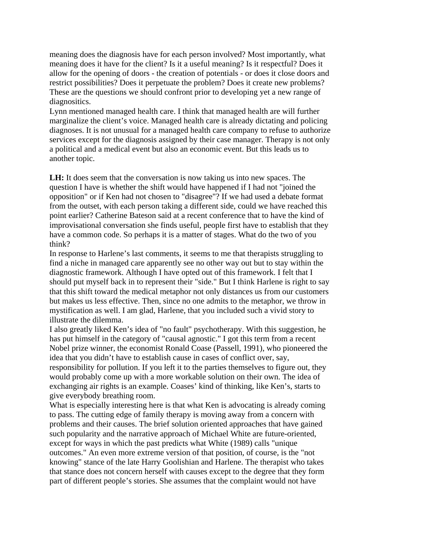meaning does the diagnosis have for each person involved? Most importantly, what meaning does it have for the client? Is it a useful meaning? Is it respectful? Does it allow for the opening of doors - the creation of potentials - or does it close doors and restrict possibilities? Does it perpetuate the problem? Does it create new problems? These are the questions we should confront prior to developing yet a new range of diagnositics.

Lynn mentioned managed health care. I think that managed health are will further marginalize the client's voice. Managed health care is already dictating and policing diagnoses. It is not unusual for a managed health care company to refuse to authorize services except for the diagnosis assigned by their case manager. Therapy is not only a political and a medical event but also an economic event. But this leads us to another topic.

**LH:** It does seem that the conversation is now taking us into new spaces. The question I have is whether the shift would have happened if I had not "joined the opposition" or if Ken had not chosen to "disagree"? If we had used a debate format from the outset, with each person taking a different side, could we have reached this point earlier? Catherine Bateson said at a recent conference that to have the kind of improvisational conversation she finds useful, people first have to establish that they have a common code. So perhaps it is a matter of stages. What do the two of you think?

In response to Harlene's last comments, it seems to me that therapists struggling to find a niche in managed care apparently see no other way out but to stay within the diagnostic framework. Although I have opted out of this framework. I felt that I should put myself back in to represent their "side." But I think Harlene is right to say that this shift toward the medical metaphor not only distances us from our customers but makes us less effective. Then, since no one admits to the metaphor, we throw in mystification as well. I am glad, Harlene, that you included such a vivid story to illustrate the dilemma.

I also greatly liked Ken's idea of "no fault" psychotherapy. With this suggestion, he has put himself in the category of "causal agnostic." I got this term from a recent Nobel prize winner, the economist Ronald Coase (Passell, 1991), who pioneered the idea that you didn't have to establish cause in cases of conflict over, say, responsibility for pollution. If you left it to the parties themselves to figure out, they would probably come up with a more workable solution on their own. The idea of exchanging air rights is an example. Coases' kind of thinking, like Ken's, starts to give everybody breathing room.

What is especially interesting here is that what Ken is advocating is already coming to pass. The cutting edge of family therapy is moving away from a concern with problems and their causes. The brief solution oriented approaches that have gained such popularity and the narrative approach of Michael White are future-oriented, except for ways in which the past predicts what White (1989) calls "unique outcomes." An even more extreme version of that position, of course, is the "not knowing" stance of the late Harry Goolishian and Harlene. The therapist who takes that stance does not concern herself with causes except to the degree that they form part of different people's stories. She assumes that the complaint would not have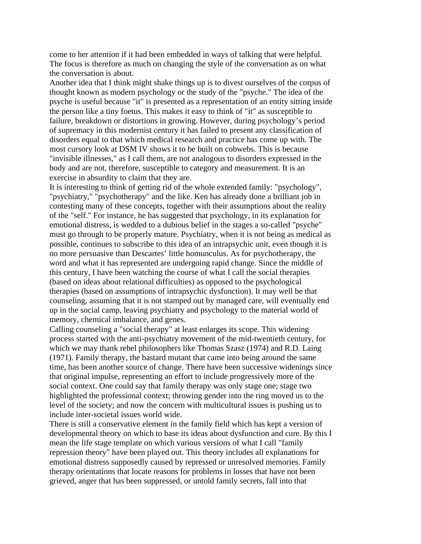come to her attention if it had been embedded in ways of talking that were helpful. The focus is therefore as much on changing the style of the conversation as on what the conversation is about.

Another idea that I think might shake things up is to divest ourselves of the corpus of thought known as modern psychology or the study of the "psyche." The idea of the psyche is useful because "it" is presented as a representation of an entity sitting inside the person like a tiny foetus. This makes it easy to think of "it" as susceptible to failure, breakdown or distortions in growing. However, during psychology's period of supremacy in this modernist century it has failed to present any classification of disorders equal to that which medical research and practice has come up with. The most cursory look at DSM IV shows it to be built on cobwebs. This is because "invisible illnesses," as I call them, are not analogous to disorders expressed in the body and are not, therefore, susceptible to category and measurement. It is an exercise in absurdity to claim that they are.

It is interesting to think of getting rid of the whole extended family: "psychology", "psychiatry," "psychotherapy" and the like. Ken has already done a brilliant job in contesting many of these concepts, together with their assumptions about the reality of the "self." For instance, he has suggested that psychology, in its explanation for emotional distress, is wedded to a dubious belief in the stages a so-called "psyche" must go through to be properly mature. Psychiatry, when it is not being as medical as possible, continues to subscribe to this idea of an intrapsychic unit, even though it is no more persuasive than Descartes' little homunculus. As for psychotherapy, the word and what it has represented are undergoing rapid change. Since the middle of this century, I have been watching the course of what I call the social therapies (based on ideas about relational difficulties) as opposed to the psychological therapies (based on assumptions of intrapsychic dysfunction). It may well be that counseling, assuming that it is not stamped out by managed care, will eventually end up in the social camp, leaving psychiatry and psychology to the material world of memory, chemical imbalance, and genes.

Calling counseling a "social therapy" at least enlarges its scope. This widening process started with the anti-psychiatry movement of the mid-twentieth century, for which we may thank rebel philosophers like Thomas Szasz (1974) and R.D. Laing (1971). Family therapy, the bastard mutant that came into being around the same time, has been another source of change. There have been successive widenings since that original impulse, representing an effort to include progressively more of the social context. One could say that family therapy was only stage one; stage two highlighted the professional context; throwing gender into the ring moved us to the level of the society; and now the concern with multicultural issues is pushing us to include inter-societal issues world wide.

There is still a conservative element in the family field which has kept a version of developmental theory on which to base its ideas about dysfunction and cure. By this I mean the life stage template on which various versions of what I call "family repression theory" have been played out. This theory includes all explanations for emotional distress supposedly caused by repressed or unresolved memories. Family therapy orientations that locate reasons for problems in losses that have not been grieved, anger that has been suppressed, or untold family secrets, fall into that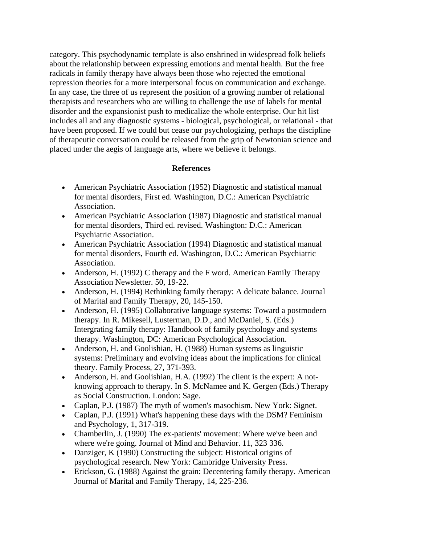category. This psychodynamic template is also enshrined in widespread folk beliefs about the relationship between expressing emotions and mental health. But the free radicals in family therapy have always been those who rejected the emotional repression theories for a more interpersonal focus on communication and exchange. In any case, the three of us represent the position of a growing number of relational therapists and researchers who are willing to challenge the use of labels for mental disorder and the expansionist push to medicalize the whole enterprise. Our hit list includes all and any diagnostic systems - biological, psychological, or relational - that have been proposed. If we could but cease our psychologizing, perhaps the discipline of therapeutic conversation could be released from the grip of Newtonian science and placed under the aegis of language arts, where we believe it belongs.

## **References**

- American Psychiatric Association (1952) Diagnostic and statistical manual for mental disorders, First ed. Washington, D.C.: American Psychiatric Association.
- American Psychiatric Association (1987) Diagnostic and statistical manual for mental disorders, Third ed. revised. Washington: D.C.: American Psychiatric Association.
- American Psychiatric Association (1994) Diagnostic and statistical manual for mental disorders, Fourth ed. Washington, D.C.: American Psychiatric Association.
- Anderson, H. (1992) C therapy and the F word. American Family Therapy Association Newsletter. 50, 19-22.
- Anderson, H. (1994) Rethinking family therapy: A delicate balance. Journal of Marital and Family Therapy, 20, 145-150.
- Anderson, H. (1995) Collaborative language systems: Toward a postmodern therapy. In R. Mikesell, Lusterman, D.D., and McDaniel, S. (Eds.) Intergrating family therapy: Handbook of family psychology and systems therapy. Washington, DC: American Psychological Association.
- Anderson, H. and Goolishian, H. (1988) Human systems as linguistic systems: Preliminary and evolving ideas about the implications for clinical theory. Family Process, 27, 371-393.
- Anderson, H. and Goolishian, H.A. (1992) The client is the expert: A notknowing approach to therapy. In S. McNamee and K. Gergen (Eds.) Therapy as Social Construction. London: Sage.
- Caplan, P.J. (1987) The myth of women's masochism. New York: Signet.
- Caplan, P.J. (1991) What's happening these days with the DSM? Feminism and Psychology, 1, 317-319.
- Chamberlin, J. (1990) The ex-patients' movement: Where we've been and where we're going. Journal of Mind and Behavior. 11, 323 336.
- Danziger, K (1990) Constructing the subject: Historical origins of psychological research. New York: Cambridge University Press.
- Erickson, G. (1988) Against the grain: Decentering family therapy. American Journal of Marital and Family Therapy, 14, 225-236.